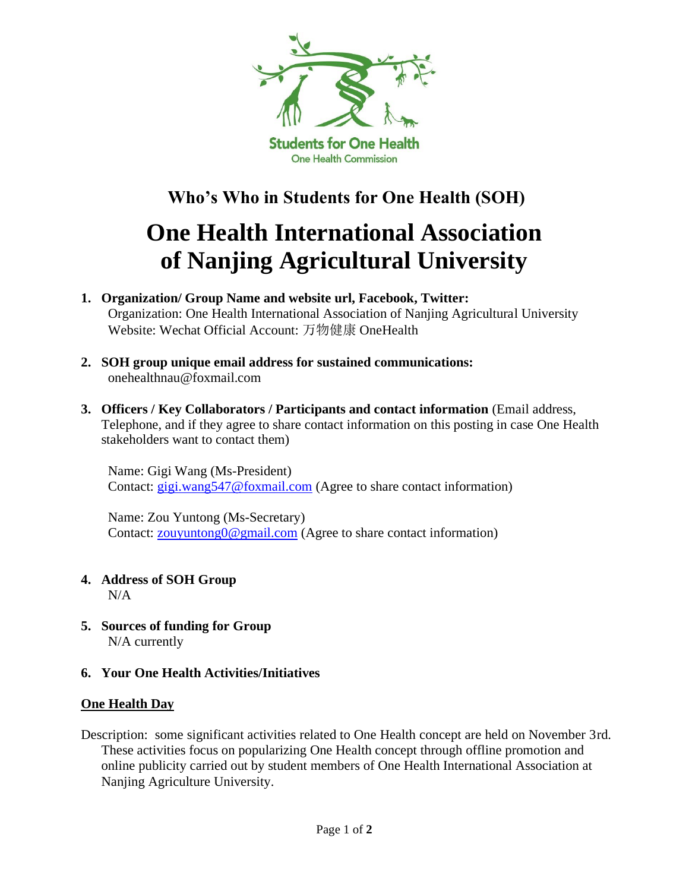

# **Who's Who in Students for One Health (SOH)**

# **One Health International Association of Nanjing Agricultural University**

- **1. Organization/ Group Name and website url, Facebook, Twitter:** Organization: One Health International Association of Nanjing Agricultural University Website: Wechat Official Account: 万物健康 OneHealth
- **2. SOH group unique email address for sustained communications:** onehealthnau@foxmail.com
- **3. Officers / Key Collaborators / Participants and contact information** (Email address, Telephone, and if they agree to share contact information on this posting in case One Health stakeholders want to contact them)

Name: Gigi Wang (Ms-President) Contact: [gigi.wang547@foxmail.com](mailto:gigi.wang547@foxmail.com) (Agree to share contact information)

Name: Zou Yuntong (Ms-Secretary) Contact: [zouyuntong0@gmail.com](mailto:zouyuntong0@gmail.com) (Agree to share contact information)

- **4. Address of SOH Group** N/A
- **5. Sources of funding for Group** N/A currently
- **6. Your One Health Activities/Initiatives**

# **One Health Day**

Description: some significant activities related to One Health concept are held on November 3rd. These activities focus on popularizing One Health concept through offline promotion and online publicity carried out by student members of One Health International Association at Nanjing Agriculture University.